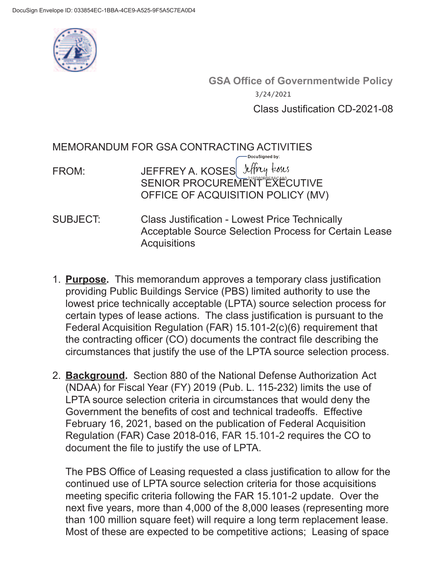

**GSA Office of Governmentwide Policy** Class Justification CD-2021-08 3/24/2021

MEMORANDUM FOR GSA CONTRACTING ACTIVITIES FROM: JEFFREY A. KOSES liftly koses SENIOR PROCUREMENT EXECUTIVE OFFICE OF ACQUISITION POLICY (MV) SUBJECT: Class Justification - Lowest Price Technically Acceptable Source Selection Process for Certain Lease

**Acquisitions** 

- 1. **Purpose.** This memorandum approves a temporary class justification providing Public Buildings Service (PBS) limited authority to use the lowest price technically acceptable (LPTA) source selection process for certain types of lease actions. The class justification is pursuant to the Federal Acquisition Regulation (FAR) 15.101-2(c)(6) requirement that the contracting officer (CO) documents the contract file describing the circumstances that justify the use of the LPTA source selection process.
- 2. **Background.** Section 880 of the National Defense Authorization Act (NDAA) for Fiscal Year (FY) 2019 (Pub. L. 115-232) limits the use of LPTA source selection criteria in circumstances that would deny the Government the benefits of cost and technical tradeoffs. Effective February 16, 2021, based on the publication of Federal Acquisition Regulation (FAR) Case 2018-016, FAR 15.101-2 requires the CO to document the file to justify the use of LPTA.

The PBS Office of Leasing requested a class justification to allow for the continued use of LPTA source selection criteria for those acquisitions meeting specific criteria following the FAR 15.101-2 update. Over the next five years, more than 4,000 of the 8,000 leases (representing more than 100 million square feet) will require a long term replacement lease. Most of these are expected to be competitive actions; Leasing of space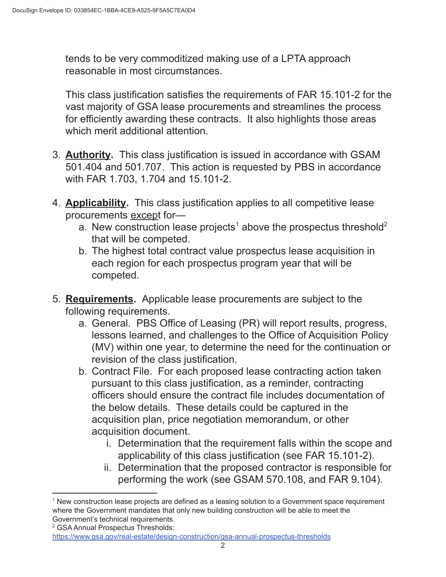tends to be very commoditized making use of a LPTA approach reasonable in most circumstances.

This class justification satisfies the requirements of FAR 15.101-2 for the vast majority of GSA lease procurements and streamlines the process for efficiently awarding these contracts. It also highlights those areas which merit additional attention.

- 3. **Authority.** This class justification is issued in accordance with GSAM 501.404 and 501.707. This action is requested by PBS in accordance with FAR 1.703, 1.704 and 15.101-2.
- 4. **Applicability.** This class justification applies to all competitive lease procurements except for
	- a. New construction lease projects<sup>1</sup> above the prospectus threshold<sup>2</sup> that will be competed.
	- b. The highest total contract value prospectus lease acquisition in each region for each prospectus program year that will be competed.
- 5. **Requirements.** Applicable lease procurements are subject to the following requirements.
	- a. General. PBS Office of Leasing (PR) will report results, progress, lessons learned, and challenges to the Office of Acquisition Policy (MV) within one year, to determine the need for the continuation or revision of the class justification.
	- b. Contract File. For each proposed lease contracting action taken pursuant to this class justification, as a reminder, contracting officers should ensure the contract file includes documentation of the below details. These details could be captured in the acquisition plan, price negotiation memorandum, or other acquisition document.
		- i. Determination that the requirement falls within the scope and applicability of this class justification (see FAR 15.101-2).
		- ii. Determination that the proposed contractor is responsible for performing the work (see GSAM 570.108, and FAR 9.104).

<sup>1</sup> New construction lease projects are defined as a leasing solution to a Government space requirement where the Government mandates that only new building construction will be able to meet the Government's technical requirements.

<sup>&</sup>lt;sup>2</sup> GSA Annual Prospectus Thresholds:

https://www.gsa.gov/real-estate/design-construction/gsa-annual-prospectus-thresholds